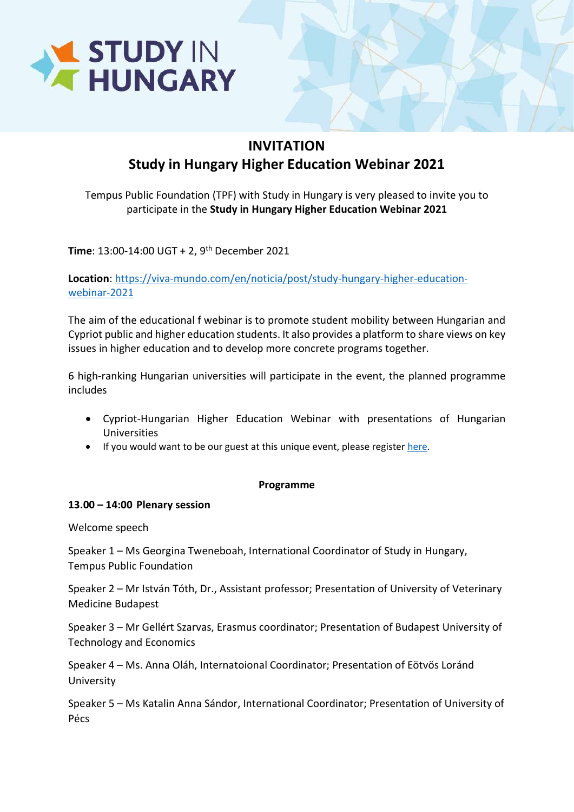

## INVITATION Study in Hungary Higher Education Webinar 2021

Tempus Public Foundation (TPF) with Study in Hungary is very pleased to invite you to participate in the Study in Hungary Higher Education Webinar 2021

Time: 13:00-14:00 UGT + 2, 9<sup>th</sup> December 2021

Location: https://viva-mundo.com/en/noticia/post/study-hungary-higher-educationwebinar-2021

The aim of the educational f webinar is to promote student mobility between Hungarian and Cypriot public and higher education students. It also provides a platform to share views on key issues in higher education and to develop more concrete programs together.

6 high-ranking Hungarian universities will participate in the event, the planned programme includes

- Cypriot-Hungarian Higher Education Webinar with presentations of Hungarian Universities
- If you would want to be our guest at this unique event, please register here.

## Programme

## 13.00 – 14:00 Plenary session

Welcome speech

Speaker 1 – Ms Georgina Tweneboah, International Coordinator of Study in Hungary, Tempus Public Foundation

Speaker 2 – Mr István Tóth, Dr., Assistant professor; Presentation of University of Veterinary Medicine Budapest

Speaker 3 – Mr Gellért Szarvas, Erasmus coordinator; Presentation of Budapest University of Technology and Economics

Speaker 4 – Ms. Anna Oláh, Internatoional Coordinator; Presentation of Eötvös Loránd University

Speaker 5 – Ms Katalin Anna Sándor, International Coordinator; Presentation of University of Pécs